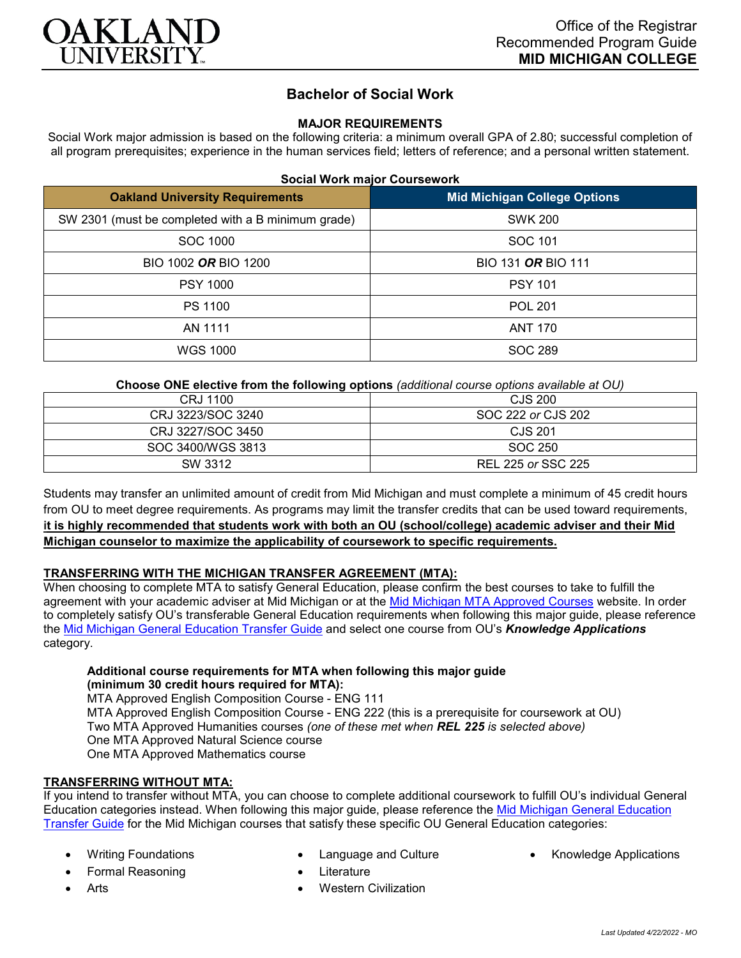

# **Bachelor of Social Work**

## **MAJOR REQUIREMENTS**

Social Work major admission is based on the following criteria: a minimum overall GPA of 2.80; successful completion of all program prerequisites; experience in the human services field; letters of reference; and a personal written statement.

|  |  |  | <b>Social Work major Coursework</b> |
|--|--|--|-------------------------------------|
|--|--|--|-------------------------------------|

| <b>Oakland University Requirements</b>             | <b>Mid Michigan College Options</b> |
|----------------------------------------------------|-------------------------------------|
| SW 2301 (must be completed with a B minimum grade) | <b>SWK 200</b>                      |
| SOC 1000                                           | SOC 101                             |
| BIO 1002 OR BIO 1200                               | BIO 131 OR BIO 111                  |
| <b>PSY 1000</b>                                    | <b>PSY 101</b>                      |
| PS 1100                                            | <b>POL 201</b>                      |
| AN 1111                                            | <b>ANT 170</b>                      |
| <b>WGS 1000</b>                                    | SOC 289                             |

**Choose ONE elective from the following options** *(additional course options available at OU)*

| CRJ 1100          | CJS 200            |
|-------------------|--------------------|
| CRJ 3223/SOC 3240 | SOC 222 or CJS 202 |
| CRJ 3227/SOC 3450 | CJS 201            |
| SOC 3400/WGS 3813 | SOC 250            |
| SW 3312           | REL 225 or SSC 225 |

Students may transfer an unlimited amount of credit from Mid Michigan and must complete a minimum of 45 credit hours from OU to meet degree requirements. As programs may limit the transfer credits that can be used toward requirements, **it is highly recommended that students work with both an OU (school/college) academic adviser and their Mid Michigan counselor to maximize the applicability of coursework to specific requirements.**

### **TRANSFERRING WITH THE MICHIGAN TRANSFER AGREEMENT (MTA):**

When choosing to complete MTA to satisfy General Education, please confirm the best courses to take to fulfill the agreement with your academic adviser at Mid Michigan or at the [Mid Michigan MTA Approved Courses](https://www.midmich.edu/academics/transfer/mta) website. In order to completely satisfy OU's transferable General Education requirements when following this major guide, please reference the [Mid Michigan General Education Transfer Guide](https://www.oakland.edu/Assets/Oakland/program-guides/mid-michigan-community-college/university-general-education-requirements/Mid%20Michigan%20Gen%20Ed.pdf) and select one course from OU's *Knowledge Applications* category.

#### **Additional course requirements for MTA when following this major guide (minimum 30 credit hours required for MTA):**

MTA Approved English Composition Course - ENG 111 MTA Approved English Composition Course - ENG 222 (this is a prerequisite for coursework at OU) Two MTA Approved Humanities courses *(one of these met when REL 225 is selected above)* One MTA Approved Natural Science course One MTA Approved Mathematics course

### **TRANSFERRING WITHOUT MTA:**

If you intend to transfer without MTA, you can choose to complete additional coursework to fulfill OU's individual General Education categories instead. When following this major guide, please reference the [Mid Michigan General Education](https://www.oakland.edu/Assets/Oakland/program-guides/mid-michigan-community-college/university-general-education-requirements/Mid%20Michigan%20Gen%20Ed.pdf)  [Transfer Guide](https://www.oakland.edu/Assets/Oakland/program-guides/mid-michigan-community-college/university-general-education-requirements/Mid%20Michigan%20Gen%20Ed.pdf) for the Mid Michigan courses that satisfy these specific OU General Education categories:

- Writing Foundations
- Formal Reasoning
- Arts
- Language and Culture
- Knowledge Applications

- **Literature**
- Western Civilization